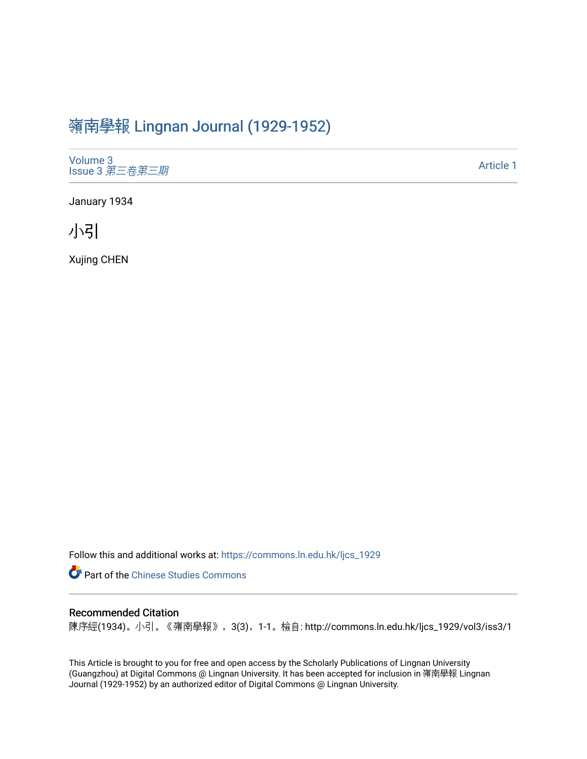## 嶺南學報 [Lingnan Journal \(1929-1952\)](https://commons.ln.edu.hk/ljcs_1929)

[Volume 3](https://commons.ln.edu.hk/ljcs_1929/vol3) Issue 3 [第三卷第三期](https://commons.ln.edu.hk/ljcs_1929/vol3/iss3)

[Article 1](https://commons.ln.edu.hk/ljcs_1929/vol3/iss3/1) 

January 1934

小引

Xujing CHEN

Follow this and additional works at: [https://commons.ln.edu.hk/ljcs\\_1929](https://commons.ln.edu.hk/ljcs_1929?utm_source=commons.ln.edu.hk%2Fljcs_1929%2Fvol3%2Fiss3%2F1&utm_medium=PDF&utm_campaign=PDFCoverPages)

**Part of the [Chinese Studies Commons](http://network.bepress.com/hgg/discipline/1081?utm_source=commons.ln.edu.hk%2Fljcs_1929%2Fvol3%2Fiss3%2F1&utm_medium=PDF&utm_campaign=PDFCoverPages)** 

### Recommended Citation

陳序經(1934)。小引。《嶺南學報》,3(3),1-1。檢自: http://commons.ln.edu.hk/ljcs\_1929/vol3/iss3/1

This Article is brought to you for free and open access by the Scholarly Publications of Lingnan University (Guangzhou) at Digital Commons @ Lingnan University. It has been accepted for inclusion in 嶺南學報 Lingnan Journal (1929-1952) by an authorized editor of Digital Commons @ Lingnan University.